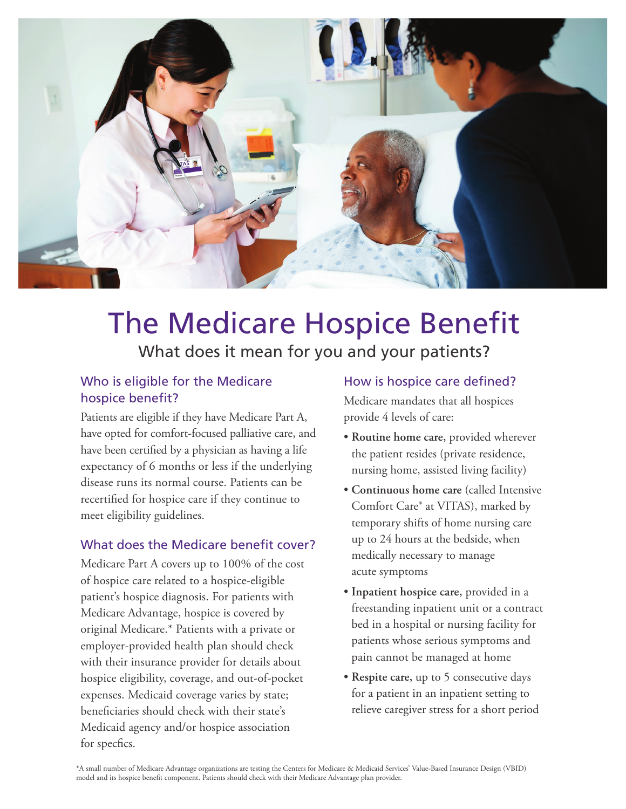

# The Medicare Hospice Benefit What does it mean for you and your patients?

#### Who is eligible for the Medicare hospice benefit?

Patients are eligible if they have Medicare Part A, have opted for comfort-focused palliative care, and have been certified by a physician as having a life expectancy of 6 months or less if the underlying disease runs its normal course. Patients can be recertified for hospice care if they continue to meet eligibility guidelines.

#### What does the Medicare benefit cover?

Medicare Part A covers up to 100% of the cost of hospice care related to a hospice-eligible patient's hospice diagnosis. For patients with Medicare Advantage, hospice is covered by original Medicare.\* Patients with a private or employer-provided health plan should check with their insurance provider for details about hospice eligibility, coverage, and out-of-pocket expenses. Medicaid coverage varies by state; beneficiaries should check with their state's Medicaid agency and/or hospice association for specfics.

#### How is hospice care defined?

Medicare mandates that all hospices provide 4 levels of care:

- **Routine home care,** provided wherever the patient resides (private residence, nursing home, assisted living facility)
- **Continuous home care** (called Intensive Comfort Care® at VITAS), marked by temporary shifts of home nursing care up to 24 hours at the bedside, when medically necessary to manage acute symptoms
- **Inpatient hospice care,** provided in a freestanding inpatient unit or a contract bed in a hospital or nursing facility for patients whose serious symptoms and pain cannot be managed at home
- **Respite care,** up to 5 consecutive days for a patient in an inpatient setting to relieve caregiver stress for a short period